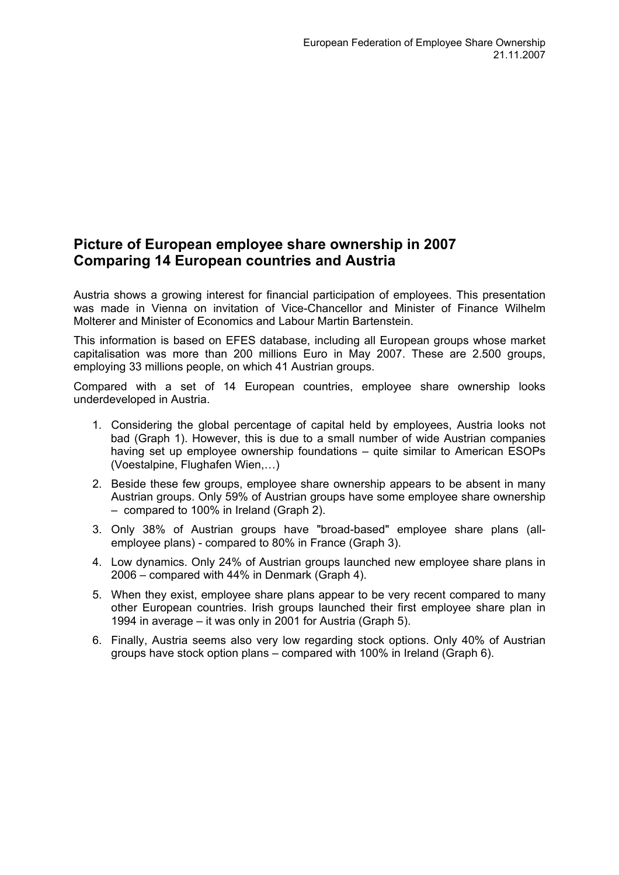## **Picture of European employee share ownership in 2007 Comparing 14 European countries and Austria**

Austria shows a growing interest for financial participation of employees. This presentation was made in Vienna on invitation of Vice-Chancellor and Minister of Finance Wilhelm Molterer and Minister of Economics and Labour Martin Bartenstein.

This information is based on EFES database, including all European groups whose market capitalisation was more than 200 millions Euro in May 2007. These are 2.500 groups, employing 33 millions people, on which 41 Austrian groups.

Compared with a set of 14 European countries, employee share ownership looks underdeveloped in Austria.

- 1. Considering the global percentage of capital held by employees, Austria looks not bad (Graph 1). However, this is due to a small number of wide Austrian companies having set up employee ownership foundations – quite similar to American ESOPs (Voestalpine, Flughafen Wien,…)
- 2. Beside these few groups, employee share ownership appears to be absent in many Austrian groups. Only 59% of Austrian groups have some employee share ownership – compared to 100% in Ireland (Graph 2).
- 3. Only 38% of Austrian groups have "broad-based" employee share plans (allemployee plans) - compared to 80% in France (Graph 3).
- 4. Low dynamics. Only 24% of Austrian groups launched new employee share plans in 2006 – compared with 44% in Denmark (Graph 4).
- 5. When they exist, employee share plans appear to be very recent compared to many other European countries. Irish groups launched their first employee share plan in 1994 in average – it was only in 2001 for Austria (Graph 5).
- 6. Finally, Austria seems also very low regarding stock options. Only 40% of Austrian groups have stock option plans – compared with 100% in Ireland (Graph 6).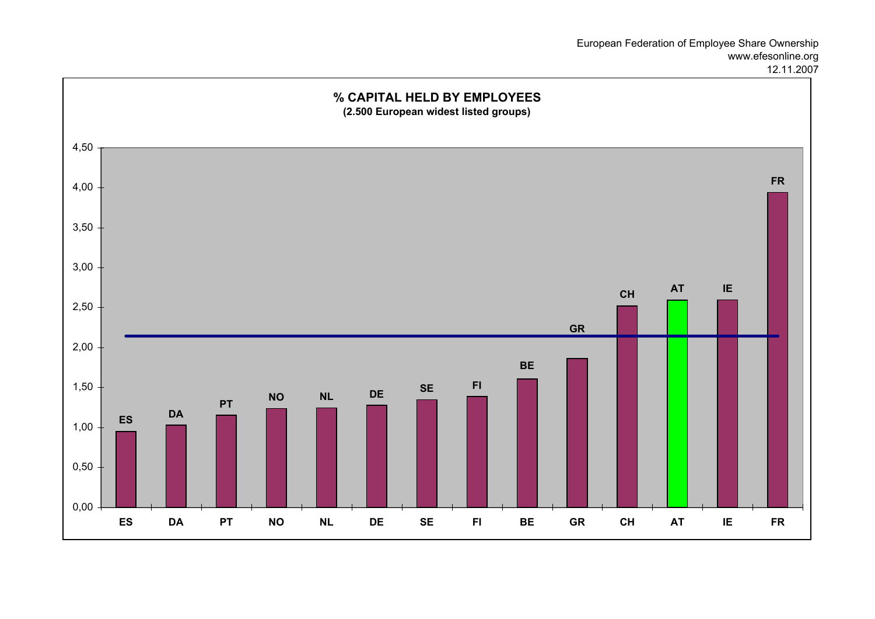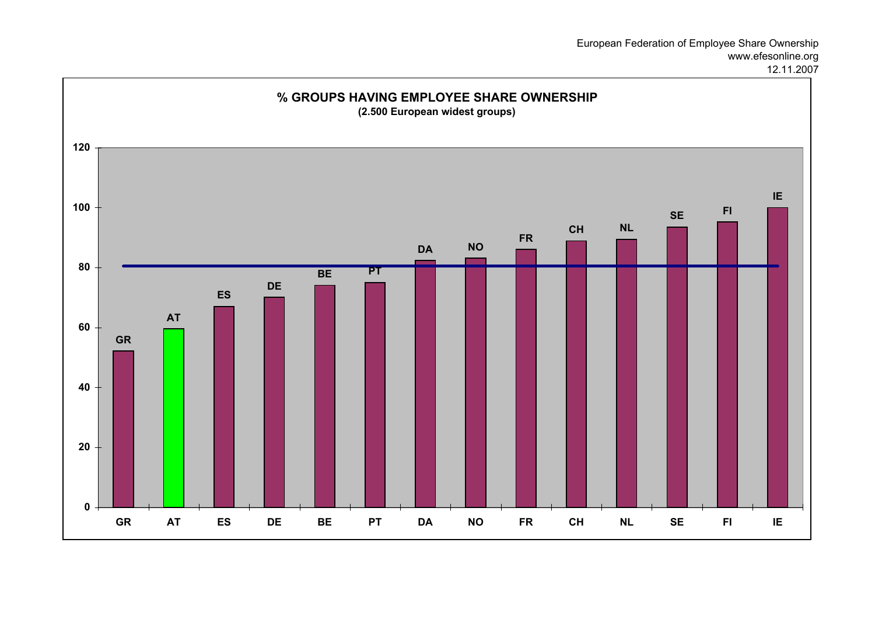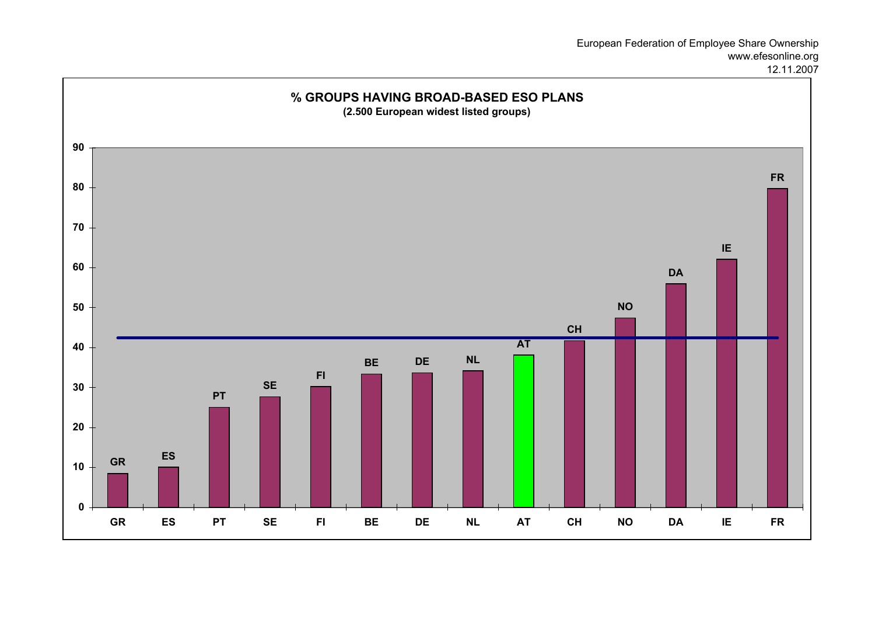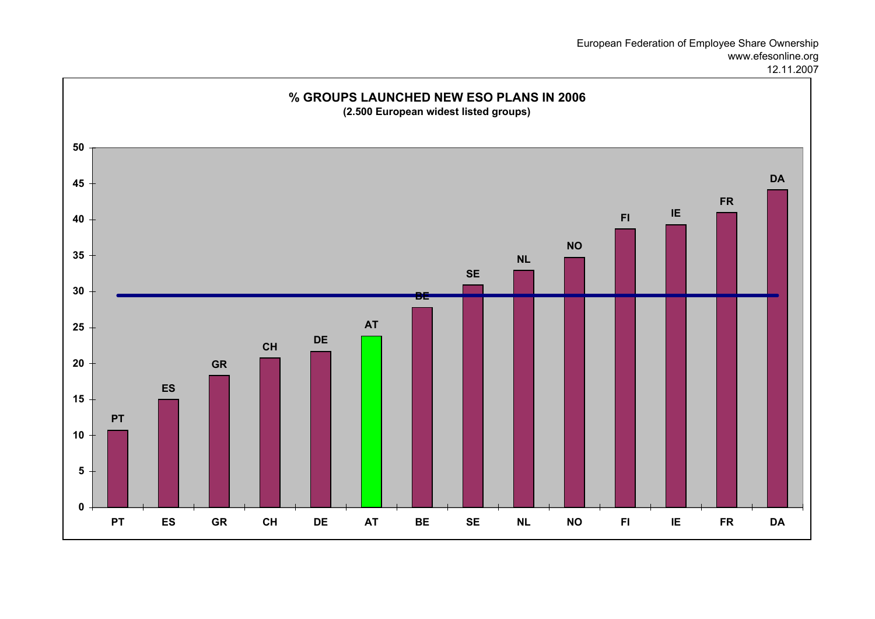## European Federation of Employee Share Ownership www.efesonline.org

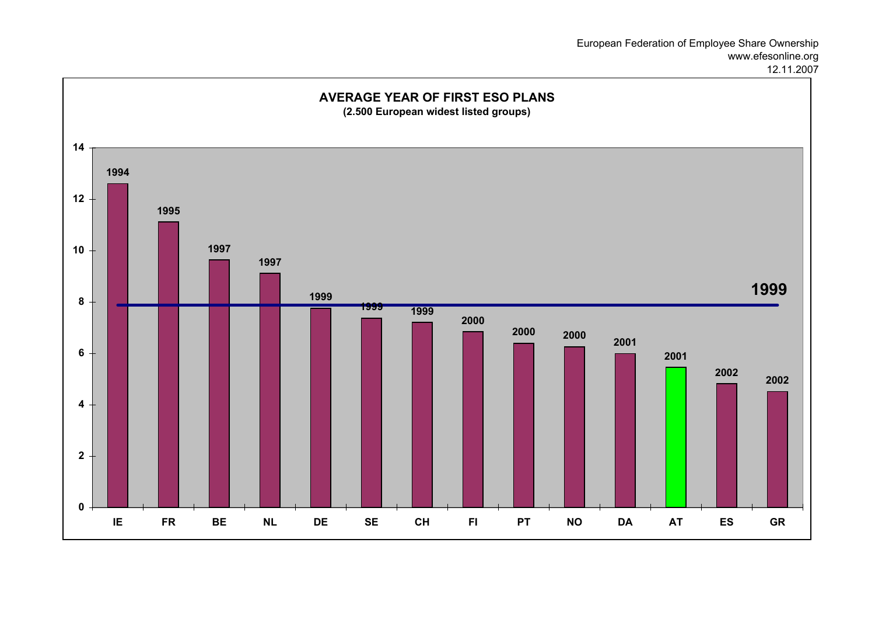